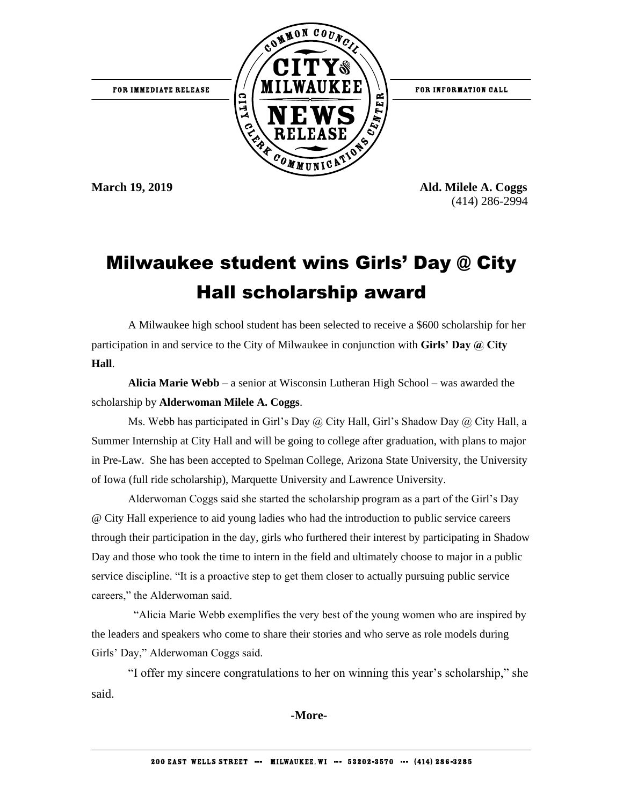

**March 19, 2019 Ald. Milele A. Coggs** (414) 286-2994

## Milwaukee student wins Girls' Day @ City Hall scholarship award

A Milwaukee high school student has been selected to receive a \$600 scholarship for her participation in and service to the City of Milwaukee in conjunction with **Girls' Day @ City Hall**.

**Alicia Marie Webb** – a senior at Wisconsin Lutheran High School – was awarded the scholarship by **Alderwoman Milele A. Coggs**.

Ms. Webb has participated in Girl's Day  $\omega$  City Hall, Girl's Shadow Day  $\omega$  City Hall, a Summer Internship at City Hall and will be going to college after graduation, with plans to major in Pre-Law. She has been accepted to Spelman College, Arizona State University, the University of Iowa (full ride scholarship), Marquette University and Lawrence University.

Alderwoman Coggs said she started the scholarship program as a part of the Girl's Day @ City Hall experience to aid young ladies who had the introduction to public service careers through their participation in the day, girls who furthered their interest by participating in Shadow Day and those who took the time to intern in the field and ultimately choose to major in a public service discipline. "It is a proactive step to get them closer to actually pursuing public service careers," the Alderwoman said.

"Alicia Marie Webb exemplifies the very best of the young women who are inspired by the leaders and speakers who come to share their stories and who serve as role models during Girls' Day," Alderwoman Coggs said.

"I offer my sincere congratulations to her on winning this year's scholarship," she said.

**-More-**